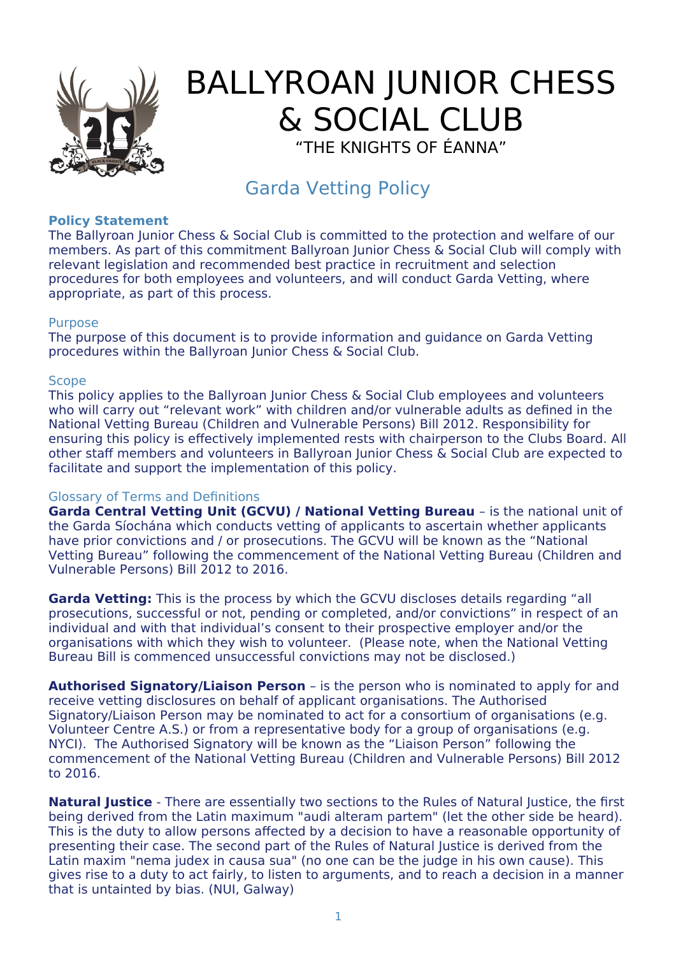

# BALLYROAN JUNIOR CHESS & SOCIAL CLUB "THE KNIGHTS OF ÉANNA"

## Garda Vetting Policy

#### **Policy Statement**

The Ballyroan Junior Chess & Social Club is committed to the protection and welfare of our members. As part of this commitment Ballyroan Junior Chess & Social Club will comply with relevant legislation and recommended best practice in recruitment and selection procedures for both employees and volunteers, and will conduct Garda Vetting, where appropriate, as part of this process.

#### Purpose

The purpose of this document is to provide information and guidance on Garda Vetting procedures within the Ballyroan Junior Chess & Social Club.

#### **Scope**

This policy applies to the Ballyroan Junior Chess & Social Club employees and volunteers who will carry out "relevant work" with children and/or vulnerable adults as defined in the National Vetting Bureau (Children and Vulnerable Persons) Bill 2012. Responsibility for ensuring this policy is effectively implemented rests with chairperson to the Clubs Board. All other staff members and volunteers in Ballyroan Junior Chess & Social Club are expected to facilitate and support the implementation of this policy.

#### Glossary of Terms and Definitions

**Garda Central Vetting Unit (GCVU) / National Vetting Bureau** – is the national unit of the Garda Síochána which conducts vetting of applicants to ascertain whether applicants have prior convictions and / or prosecutions. The GCVU will be known as the "National Vetting Bureau" following the commencement of the National Vetting Bureau (Children and Vulnerable Persons) Bill 2012 to 2016.

**Garda Vetting:** This is the process by which the GCVU discloses details regarding "all prosecutions, successful or not, pending or completed, and/or convictions" in respect of an individual and with that individual's consent to their prospective employer and/or the organisations with which they wish to volunteer. (Please note, when the National Vetting Bureau Bill is commenced unsuccessful convictions may not be disclosed.)

**Authorised Signatory/Liaison Person** – is the person who is nominated to apply for and receive vetting disclosures on behalf of applicant organisations. The Authorised Signatory/Liaison Person may be nominated to act for a consortium of organisations (e.g. Volunteer Centre A.S.) or from a representative body for a group of organisations (e.g. NYCI). The Authorised Signatory will be known as the "Liaison Person" following the commencement of the National Vetting Bureau (Children and Vulnerable Persons) Bill 2012 to 2016.

**Natural Justice** - There are essentially two sections to the Rules of Natural Justice, the first being derived from the Latin maximum "audi alteram partem" (let the other side be heard). This is the duty to allow persons affected by a decision to have a reasonable opportunity of presenting their case. The second part of the Rules of Natural Justice is derived from the Latin maxim "nema judex in causa sua" (no one can be the judge in his own cause). This gives rise to a duty to act fairly, to listen to arguments, and to reach a decision in a manner that is untainted by bias. (NUI, Galway)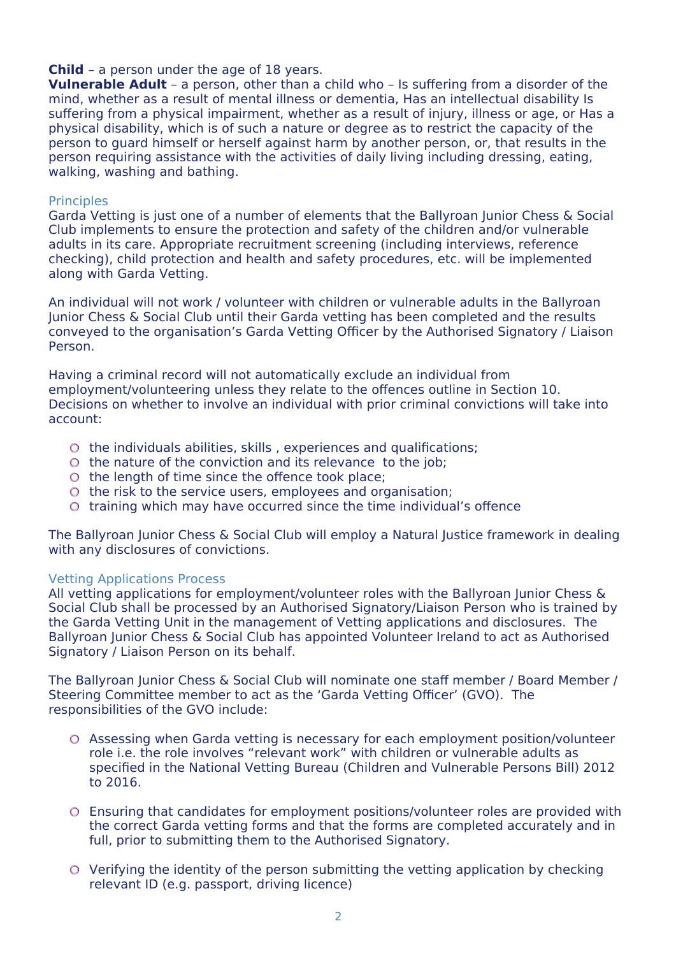#### **Child** – a person under the age of 18 years.

**Vulnerable Adult** – a person, other than a child who – Is suffering from a disorder of the mind, whether as a result of mental illness or dementia, Has an intellectual disability Is suffering from a physical impairment, whether as a result of injury, illness or age, or Has a physical disability, which is of such a nature or degree as to restrict the capacity of the person to guard himself or herself against harm by another person, or, that results in the person requiring assistance with the activities of daily living including dressing, eating, walking, washing and bathing.

#### **Principles**

Garda Vetting is just one of a number of elements that the Ballyroan Junior Chess & Social Club implements to ensure the protection and safety of the children and/or vulnerable adults in its care. Appropriate recruitment screening (including interviews, reference checking), child protection and health and safety procedures, etc. will be implemented along with Garda Vetting.

An individual will not work / volunteer with children or vulnerable adults in the Ballyroan Junior Chess & Social Club until their Garda vetting has been completed and the results conveyed to the organisation's Garda Vetting Officer by the Authorised Signatory / Liaison Person.

Having a criminal record will not automatically exclude an individual from employment/volunteering unless they relate to the offences outline in Section 10. Decisions on whether to involve an individual with prior criminal convictions will take into account:

- $\circ$  the individuals abilities, skills, experiences and qualifications;
- $\circ$  the nature of the conviction and its relevance to the job;
- $\circ$  the length of time since the offence took place;
- $\circ$  the risk to the service users, employees and organisation;
- $\circ$  training which may have occurred since the time individual's offence

The Ballyroan Junior Chess & Social Club will employ a Natural Justice framework in dealing with any disclosures of convictions.

#### Vetting Applications Process

All vetting applications for employment/volunteer roles with the Ballyroan Junior Chess & Social Club shall be processed by an Authorised Signatory/Liaison Person who is trained by the Garda Vetting Unit in the management of Vetting applications and disclosures. The Ballyroan Junior Chess & Social Club has appointed Volunteer Ireland to act as Authorised Signatory / Liaison Person on its behalf.

The Ballyroan Junior Chess & Social Club will nominate one staff member / Board Member / Steering Committee member to act as the 'Garda Vetting Officer' (GVO). The responsibilities of the GVO include:

- Assessing when Garda vetting is necessary for each employment position/volunteer role i.e. the role involves "relevant work" with children or vulnerable adults as specified in the National Vetting Bureau (Children and Vulnerable Persons Bill) 2012 to 2016.
- Ensuring that candidates for employment positions/volunteer roles are provided with the correct Garda vetting forms and that the forms are completed accurately and in full, prior to submitting them to the Authorised Signatory.
- Verifying the identity of the person submitting the vetting application by checking relevant ID (e.g. passport, driving licence)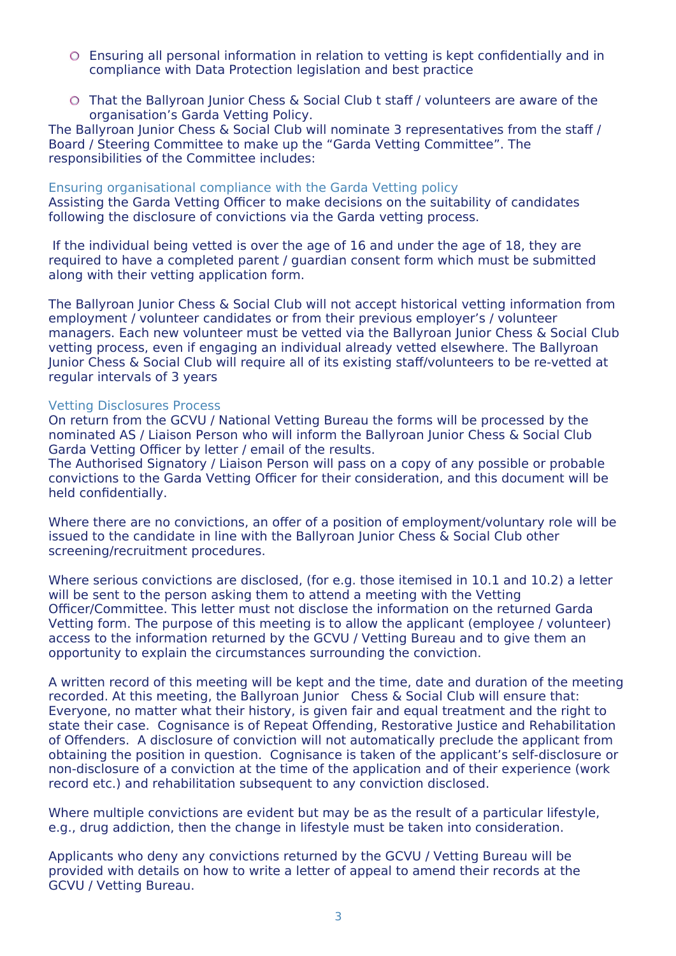- Ensuring all personal information in relation to vetting is kept confidentially and in compliance with Data Protection legislation and best practice
- That the Ballyroan Junior Chess & Social Club t staff / volunteers are aware of the organisation's Garda Vetting Policy.

The Ballyroan Junior Chess & Social Club will nominate 3 representatives from the staff / Board / Steering Committee to make up the "Garda Vetting Committee". The responsibilities of the Committee includes:

#### Ensuring organisational compliance with the Garda Vetting policy

Assisting the Garda Vetting Officer to make decisions on the suitability of candidates following the disclosure of convictions via the Garda vetting process.

 If the individual being vetted is over the age of 16 and under the age of 18, they are required to have a completed parent / guardian consent form which must be submitted along with their vetting application form.

The Ballyroan Junior Chess & Social Club will not accept historical vetting information from employment / volunteer candidates or from their previous employer's / volunteer managers. Each new volunteer must be vetted via the Ballyroan Junior Chess & Social Club vetting process, even if engaging an individual already vetted elsewhere. The Ballyroan Junior Chess & Social Club will require all of its existing staff/volunteers to be re-vetted at regular intervals of 3 years

#### Vetting Disclosures Process

On return from the GCVU / National Vetting Bureau the forms will be processed by the nominated AS / Liaison Person who will inform the Ballyroan Junior Chess & Social Club Garda Vetting Officer by letter / email of the results.

The Authorised Signatory / Liaison Person will pass on a copy of any possible or probable convictions to the Garda Vetting Officer for their consideration, and this document will be held confidentially.

Where there are no convictions, an offer of a position of employment/voluntary role will be issued to the candidate in line with the Ballyroan Junior Chess & Social Club other screening/recruitment procedures.

Where serious convictions are disclosed, (for e.g. those itemised in 10.1 and 10.2) a letter will be sent to the person asking them to attend a meeting with the Vetting Officer/Committee. This letter must not disclose the information on the returned Garda Vetting form. The purpose of this meeting is to allow the applicant (employee / volunteer) access to the information returned by the GCVU / Vetting Bureau and to give them an opportunity to explain the circumstances surrounding the conviction.

A written record of this meeting will be kept and the time, date and duration of the meeting recorded. At this meeting, the Ballyroan Junior Chess & Social Club will ensure that: Everyone, no matter what their history, is given fair and equal treatment and the right to state their case. Cognisance is of Repeat Offending, Restorative Justice and Rehabilitation of Offenders. A disclosure of conviction will not automatically preclude the applicant from obtaining the position in question. Cognisance is taken of the applicant's self-disclosure or non-disclosure of a conviction at the time of the application and of their experience (work record etc.) and rehabilitation subsequent to any conviction disclosed.

Where multiple convictions are evident but may be as the result of a particular lifestyle, e.g., drug addiction, then the change in lifestyle must be taken into consideration.

Applicants who deny any convictions returned by the GCVU / Vetting Bureau will be provided with details on how to write a letter of appeal to amend their records at the GCVU / Vetting Bureau.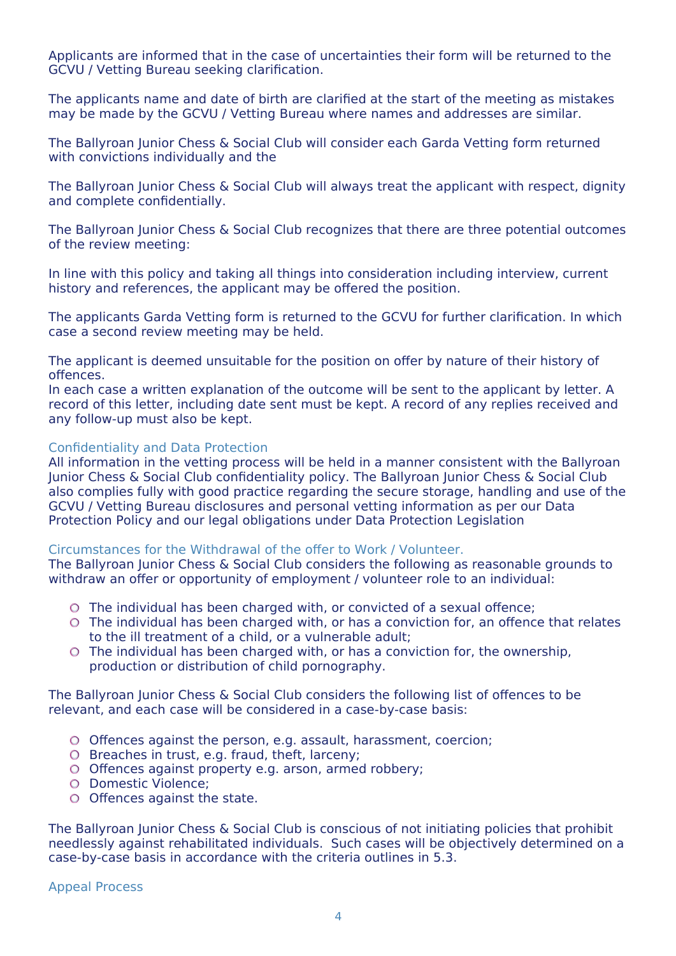Applicants are informed that in the case of uncertainties their form will be returned to the GCVU / Vetting Bureau seeking clarification.

The applicants name and date of birth are clarified at the start of the meeting as mistakes may be made by the GCVU / Vetting Bureau where names and addresses are similar.

The Ballyroan Junior Chess & Social Club will consider each Garda Vetting form returned with convictions individually and the

The Ballyroan Junior Chess & Social Club will always treat the applicant with respect, dignity and complete confidentially.

The Ballyroan Junior Chess & Social Club recognizes that there are three potential outcomes of the review meeting:

In line with this policy and taking all things into consideration including interview, current history and references, the applicant may be offered the position.

The applicants Garda Vetting form is returned to the GCVU for further clarification. In which case a second review meeting may be held.

The applicant is deemed unsuitable for the position on offer by nature of their history of offences.

In each case a written explanation of the outcome will be sent to the applicant by letter. A record of this letter, including date sent must be kept. A record of any replies received and any follow-up must also be kept.

#### Confidentiality and Data Protection

All information in the vetting process will be held in a manner consistent with the Ballyroan Junior Chess & Social Club confidentiality policy. The Ballyroan Junior Chess & Social Club also complies fully with good practice regarding the secure storage, handling and use of the GCVU / Vetting Bureau disclosures and personal vetting information as per our Data Protection Policy and our legal obligations under Data Protection Legislation

#### Circumstances for the Withdrawal of the offer to Work / Volunteer.

The Ballyroan Junior Chess & Social Club considers the following as reasonable grounds to withdraw an offer or opportunity of employment / volunteer role to an individual:

- The individual has been charged with, or convicted of a sexual offence;
- The individual has been charged with, or has a conviction for, an offence that relates to the ill treatment of a child, or a vulnerable adult;
- The individual has been charged with, or has a conviction for, the ownership, production or distribution of child pornography.

The Ballyroan Junior Chess & Social Club considers the following list of offences to be relevant, and each case will be considered in a case-by-case basis:

- O Offences against the person, e.g. assault, harassment, coercion;
- $O$  Breaches in trust, e.g. fraud, theft, larceny;
- O Offences against property e.g. arson, armed robbery;
- O Domestic Violence:
- O Offences against the state.

The Ballyroan Junior Chess & Social Club is conscious of not initiating policies that prohibit needlessly against rehabilitated individuals. Such cases will be objectively determined on a case-by-case basis in accordance with the criteria outlines in 5.3.

Appeal Process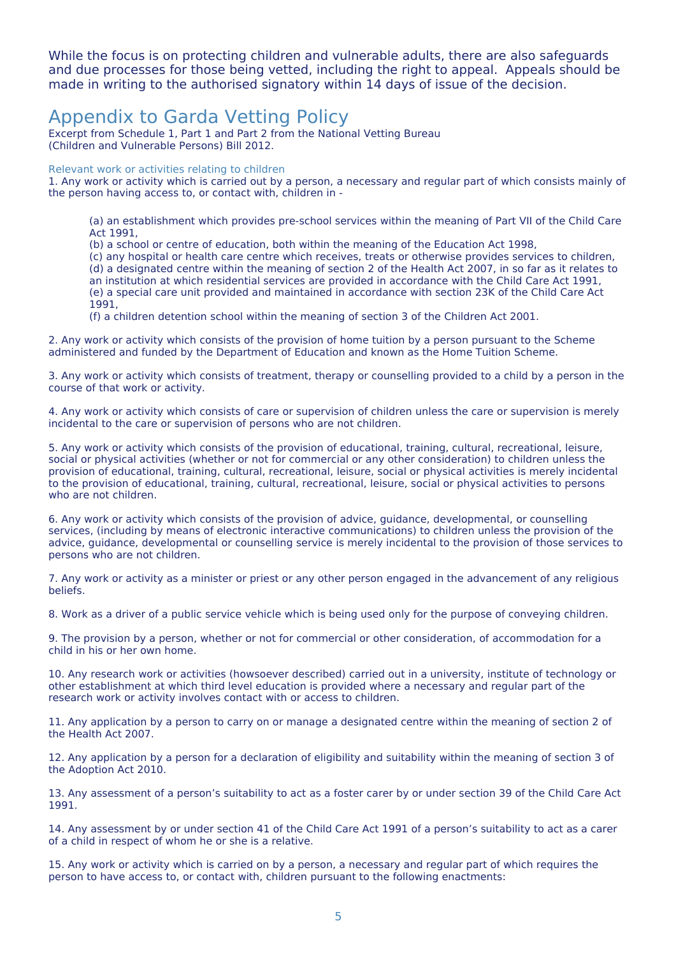While the focus is on protecting children and vulnerable adults, there are also safeguards and due processes for those being vetted, including the right to appeal. Appeals should be made in writing to the authorised signatory within 14 days of issue of the decision.

### Appendix to Garda Vetting Policy

Excerpt from Schedule 1, Part 1 and Part 2 from the National Vetting Bureau (Children and Vulnerable Persons) Bill 2012.

Relevant work or activities relating to children

1. Any work or activity which is carried out by a person, a necessary and regular part of which consists mainly of the person having access to, or contact with, children in -

(a) an establishment which provides pre-school services within the meaning of Part VII of the Child Care Act 1991,

(b) a school or centre of education, both within the meaning of the Education Act 1998,

(c) any hospital or health care centre which receives, treats or otherwise provides services to children,

(d) a designated centre within the meaning of section 2 of the Health Act 2007, in so far as it relates to

an institution at which residential services are provided in accordance with the Child Care Act 1991, (e) a special care unit provided and maintained in accordance with section 23K of the Child Care Act

1991,

(f) a children detention school within the meaning of section 3 of the Children Act 2001.

2. Any work or activity which consists of the provision of home tuition by a person pursuant to the Scheme administered and funded by the Department of Education and known as the Home Tuition Scheme.

3. Any work or activity which consists of treatment, therapy or counselling provided to a child by a person in the course of that work or activity.

4. Any work or activity which consists of care or supervision of children unless the care or supervision is merely incidental to the care or supervision of persons who are not children.

5. Any work or activity which consists of the provision of educational, training, cultural, recreational, leisure, social or physical activities (whether or not for commercial or any other consideration) to children unless the provision of educational, training, cultural, recreational, leisure, social or physical activities is merely incidental to the provision of educational, training, cultural, recreational, leisure, social or physical activities to persons who are not children.

6. Any work or activity which consists of the provision of advice, guidance, developmental, or counselling services, (including by means of electronic interactive communications) to children unless the provision of the advice, guidance, developmental or counselling service is merely incidental to the provision of those services to persons who are not children.

7. Any work or activity as a minister or priest or any other person engaged in the advancement of any religious beliefs.

8. Work as a driver of a public service vehicle which is being used only for the purpose of conveying children.

9. The provision by a person, whether or not for commercial or other consideration, of accommodation for a child in his or her own home.

10. Any research work or activities (howsoever described) carried out in a university, institute of technology or other establishment at which third level education is provided where a necessary and regular part of the research work or activity involves contact with or access to children.

11. Any application by a person to carry on or manage a designated centre within the meaning of section 2 of the Health Act 2007.

12. Any application by a person for a declaration of eligibility and suitability within the meaning of section 3 of the Adoption Act 2010.

13. Any assessment of a person's suitability to act as a foster carer by or under section 39 of the Child Care Act 1991.

14. Any assessment by or under section 41 of the Child Care Act 1991 of a person's suitability to act as a carer of a child in respect of whom he or she is a relative.

15. Any work or activity which is carried on by a person, a necessary and regular part of which requires the person to have access to, or contact with, children pursuant to the following enactments: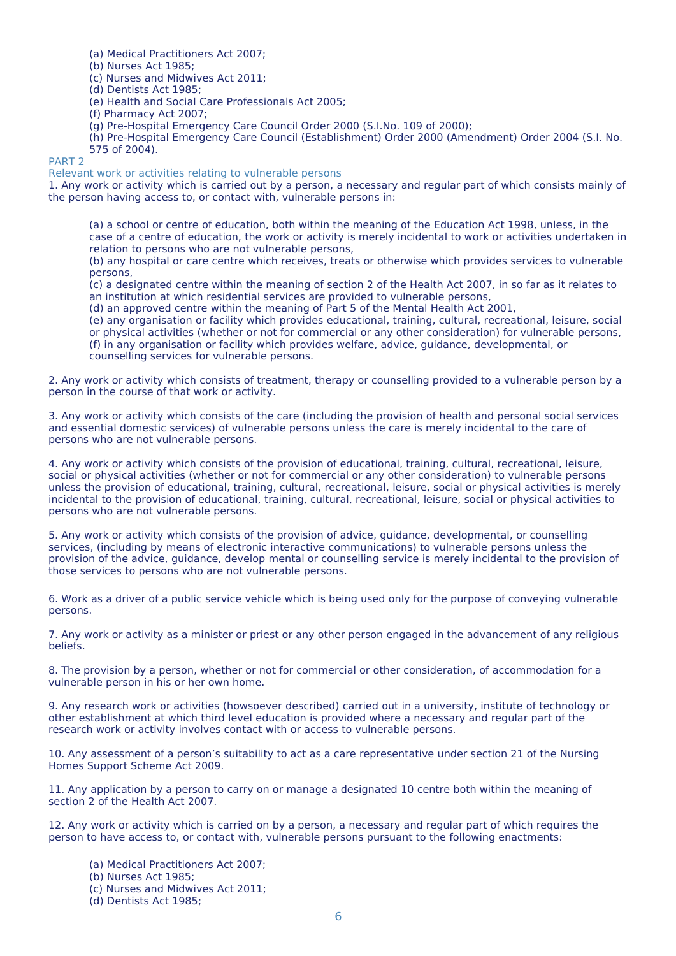(a) Medical Practitioners Act 2007;

(b) Nurses Act 1985;

(c) Nurses and Midwives Act 2011;

(d) Dentists Act 1985;

(e) Health and Social Care Professionals Act 2005;

(f) Pharmacy Act 2007;

(g) Pre-Hospital Emergency Care Council Order 2000 (S.I.No. 109 of 2000);

(h) Pre-Hospital Emergency Care Council (Establishment) Order 2000 (Amendment) Order 2004 (S.I. No. 575 of 2004).

PART 2

Relevant work or activities relating to vulnerable persons

1. Any work or activity which is carried out by a person, a necessary and regular part of which consists mainly of the person having access to, or contact with, vulnerable persons in:

(a) a school or centre of education, both within the meaning of the Education Act 1998, unless, in the case of a centre of education, the work or activity is merely incidental to work or activities undertaken in relation to persons who are not vulnerable persons,

(b) any hospital or care centre which receives, treats or otherwise which provides services to vulnerable persons,

(c) a designated centre within the meaning of section 2 of the Health Act 2007, in so far as it relates to an institution at which residential services are provided to vulnerable persons,

(d) an approved centre within the meaning of Part 5 of the Mental Health Act 2001,

(e) any organisation or facility which provides educational, training, cultural, recreational, leisure, social or physical activities (whether or not for commercial or any other consideration) for vulnerable persons, (f) in any organisation or facility which provides welfare, advice, guidance, developmental, or counselling services for vulnerable persons.

2. Any work or activity which consists of treatment, therapy or counselling provided to a vulnerable person by a person in the course of that work or activity.

3. Any work or activity which consists of the care (including the provision of health and personal social services and essential domestic services) of vulnerable persons unless the care is merely incidental to the care of persons who are not vulnerable persons.

4. Any work or activity which consists of the provision of educational, training, cultural, recreational, leisure, social or physical activities (whether or not for commercial or any other consideration) to vulnerable persons unless the provision of educational, training, cultural, recreational, leisure, social or physical activities is merely incidental to the provision of educational, training, cultural, recreational, leisure, social or physical activities to persons who are not vulnerable persons.

5. Any work or activity which consists of the provision of advice, guidance, developmental, or counselling services, (including by means of electronic interactive communications) to vulnerable persons unless the provision of the advice, guidance, develop mental or counselling service is merely incidental to the provision of those services to persons who are not vulnerable persons.

6. Work as a driver of a public service vehicle which is being used only for the purpose of conveying vulnerable persons.

7. Any work or activity as a minister or priest or any other person engaged in the advancement of any religious beliefs.

8. The provision by a person, whether or not for commercial or other consideration, of accommodation for a vulnerable person in his or her own home.

9. Any research work or activities (howsoever described) carried out in a university, institute of technology or other establishment at which third level education is provided where a necessary and regular part of the research work or activity involves contact with or access to vulnerable persons.

10. Any assessment of a person's suitability to act as a care representative under section 21 of the Nursing Homes Support Scheme Act 2009.

11. Any application by a person to carry on or manage a designated 10 centre both within the meaning of section 2 of the Health Act 2007.

12. Any work or activity which is carried on by a person, a necessary and regular part of which requires the person to have access to, or contact with, vulnerable persons pursuant to the following enactments:

- (a) Medical Practitioners Act 2007;
- (b) Nurses Act 1985;
- (c) Nurses and Midwives Act 2011;
- (d) Dentists Act 1985;